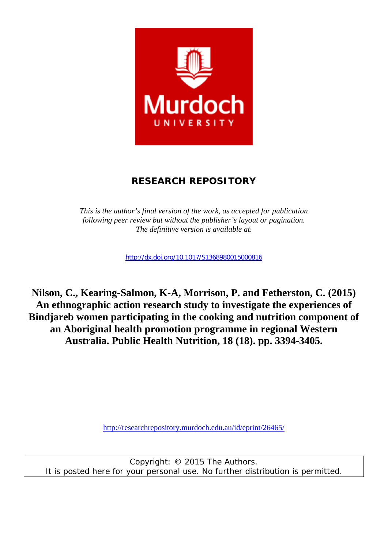

## **RESEARCH REPOSITORY**

*This is the author's final version of the work, as accepted for publication following peer review but without the publisher's layout or pagination. The definitive version is available at*:

http://dx.doi.org/10.1017/S1368980015000816

**Nilson, C., Kearing-Salmon, K-A, Morrison, P. and Fetherston, C. (2015) An ethnographic action research study to investigate the experiences of Bindjareb women participating in the cooking and nutrition component of an Aboriginal health promotion programme in regional Western Australia. Public Health Nutrition, 18 (18). pp. 3394-3405.** 

http://researchrepository.murdoch.edu.au/id/eprint/26465/

Copyright: © 2015 The Authors. It is posted here for your personal use. No further distribution is permitted.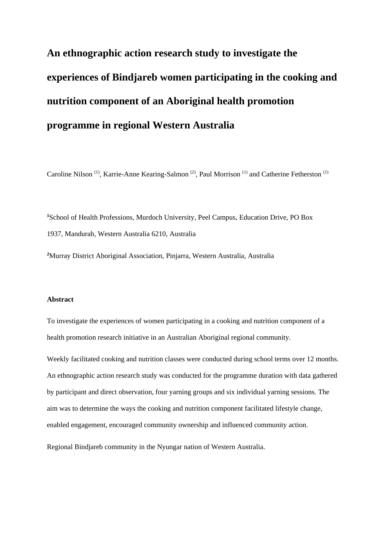# **An ethnographic action research study to investigate the experiences of Bindjareb women participating in the cooking and nutrition component of an Aboriginal health promotion programme in regional Western Australia**

Caroline Nilson<sup>(1)</sup>, Karrie-Anne Kearing-Salmon<sup>(2)</sup>, Paul Morrison<sup>(1)</sup> and Catherine Fetherston<sup>(1)</sup>

**1** School of Health Professions, Murdoch University, Peel Campus, Education Drive, PO Box 1937, Mandurah, Western Australia 6210, Australia

**2** Murray District Aboriginal Association, Pinjarra, Western Australia, Australia

#### **Abstract**

To investigate the experiences of women participating in a cooking and nutrition component of a health promotion research initiative in an Australian Aboriginal regional community.

Weekly facilitated cooking and nutrition classes were conducted during school terms over 12 months. An ethnographic action research study was conducted for the programme duration with data gathered by participant and direct observation, four yarning groups and six individual yarning sessions. The aim was to determine the ways the cooking and nutrition component facilitated lifestyle change, enabled engagement, encouraged community ownership and influenced community action.

Regional Bindjareb community in the Nyungar nation of Western Australia.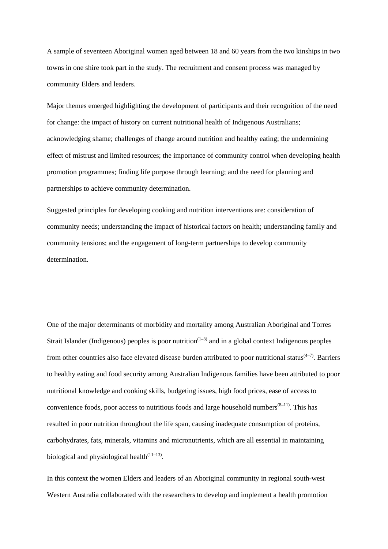A sample of seventeen Aboriginal women aged between 18 and 60 years from the two kinships in two towns in one shire took part in the study. The recruitment and consent process was managed by community Elders and leaders.

Major themes emerged highlighting the development of participants and their recognition of the need for change: the impact of history on current nutritional health of Indigenous Australians; acknowledging shame; challenges of change around nutrition and healthy eating; the undermining effect of mistrust and limited resources; the importance of community control when developing health promotion programmes; finding life purpose through learning; and the need for planning and partnerships to achieve community determination.

Suggested principles for developing cooking and nutrition interventions are: consideration of community needs; understanding the impact of historical factors on health; understanding family and community tensions; and the engagement of long-term partnerships to develop community determination.

One of the major determinants of morbidity and mortality among Australian Aboriginal and Torres Strait Islander (Indigenous) peoples is poor nutrition<sup> $(1-3)$ </sup> and in a global context Indigenous peoples from other countries also face elevated disease burden attributed to poor nutritional status $(4-7)$ . Barriers to healthy eating and food security among Australian Indigenous families have been attributed to poor nutritional knowledge and cooking skills, budgeting issues, high food prices, ease of access to convenience foods, poor access to nutritious foods and large household numbers $(8-11)$ . This has resulted in poor nutrition throughout the life span, causing inadequate consumption of proteins, carbohydrates, fats, minerals, vitamins and micronutrients, which are all essential in maintaining biological and physiological health $(11-13)$ .

In this context the women Elders and leaders of an Aboriginal community in regional south-west Western Australia collaborated with the researchers to develop and implement a health promotion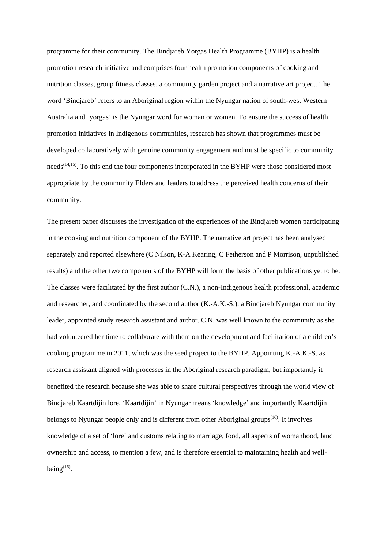programme for their community. The Bindjareb Yorgas Health Programme (BYHP) is a health promotion research initiative and comprises four health promotion components of cooking and nutrition classes, group fitness classes, a community garden project and a narrative art project. The word 'Bindjareb' refers to an Aboriginal region within the Nyungar nation of south-west Western Australia and 'yorgas' is the Nyungar word for woman or women. To ensure the success of health promotion initiatives in Indigenous communities, research has shown that programmes must be developed collaboratively with genuine community engagement and must be specific to community needs<sup>(14,15)</sup>. To this end the four components incorporated in the BYHP were those considered most appropriate by the community Elders and leaders to address the perceived health concerns of their community.

The present paper discusses the investigation of the experiences of the Bindjareb women participating in the cooking and nutrition component of the BYHP. The narrative art project has been analysed separately and reported elsewhere (C Nilson, K-A Kearing, C Fetherson and P Morrison, unpublished results) and the other two components of the BYHP will form the basis of other publications yet to be. The classes were facilitated by the first author (C.N.), a non-Indigenous health professional, academic and researcher, and coordinated by the second author (K.-A.K.-S.), a Bindjareb Nyungar community leader, appointed study research assistant and author. C.N. was well known to the community as she had volunteered her time to collaborate with them on the development and facilitation of a children's cooking programme in 2011, which was the seed project to the BYHP. Appointing K.-A.K.-S. as research assistant aligned with processes in the Aboriginal research paradigm, but importantly it benefited the research because she was able to share cultural perspectives through the world view of Bindjareb Kaartdijin lore. 'Kaartdijin' in Nyungar means 'knowledge' and importantly Kaartdijin belongs to Nyungar people only and is different from other Aboriginal groups<sup> $(16)$ </sup>. It involves knowledge of a set of 'lore' and customs relating to marriage, food, all aspects of womanhood, land ownership and access, to mention a few, and is therefore essential to maintaining health and wellbeing<sup>(16)</sup>.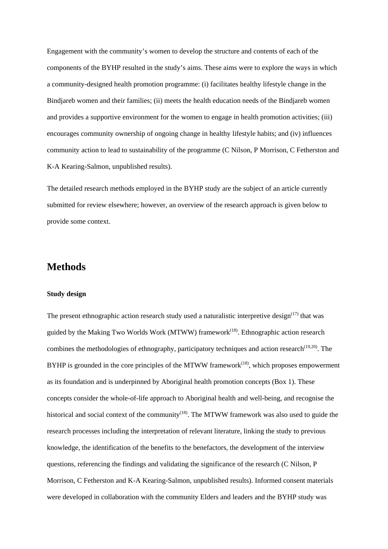Engagement with the community's women to develop the structure and contents of each of the components of the BYHP resulted in the study's aims. These aims were to explore the ways in which a community-designed health promotion programme: (i) facilitates healthy lifestyle change in the Bindjareb women and their families; (ii) meets the health education needs of the Bindjareb women and provides a supportive environment for the women to engage in health promotion activities; (iii) encourages community ownership of ongoing change in healthy lifestyle habits; and (iv) influences community action to lead to sustainability of the programme (C Nilson, P Morrison, C Fetherston and K-A Kearing-Salmon, unpublished results).

The detailed research methods employed in the BYHP study are the subject of an article currently submitted for review elsewhere; however, an overview of the research approach is given below to provide some context.

## **Methods**

#### **Study design**

The present ethnographic action research study used a naturalistic interpretive design $(17)$  that was guided by the Making Two Worlds Work (MTWW) framework(18). Ethnographic action research combines the methodologies of ethnography, participatory techniques and action research<sup> $(19,20)$ </sup>. The BYHP is grounded in the core principles of the MTWW framework<sup> $(18)$ </sup>, which proposes empowerment as its foundation and is underpinned by Aboriginal health promotion concepts (Box 1). These concepts consider the whole-of-life approach to Aboriginal health and well-being, and recognise the historical and social context of the community<sup> $(18)$ </sup>. The MTWW framework was also used to guide the research processes including the interpretation of relevant literature, linking the study to previous knowledge, the identification of the benefits to the benefactors, the development of the interview questions, referencing the findings and validating the significance of the research (C Nilson, P Morrison, C Fetherston and K-A Kearing-Salmon, unpublished results). Informed consent materials were developed in collaboration with the community Elders and leaders and the BYHP study was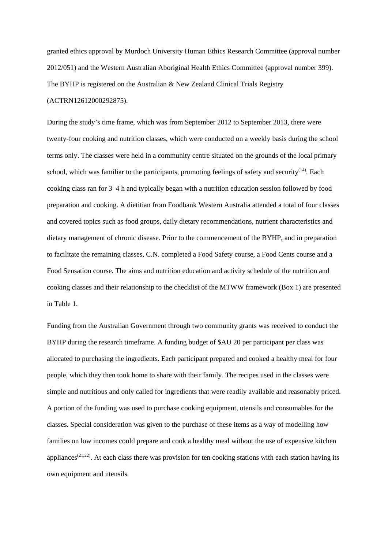granted ethics approval by Murdoch University Human Ethics Research Committee (approval number 2012/051) and the Western Australian Aboriginal Health Ethics Committee (approval number 399). The BYHP is registered on the Australian & New Zealand Clinical Trials Registry (ACTRN12612000292875).

During the study's time frame, which was from September 2012 to September 2013, there were twenty-four cooking and nutrition classes, which were conducted on a weekly basis during the school terms only. The classes were held in a community centre situated on the grounds of the local primary school, which was familiar to the participants, promoting feelings of safety and security<sup> $(14)$ </sup>. Each cooking class ran for 3–4 h and typically began with a nutrition education session followed by food preparation and cooking. A dietitian from Foodbank Western Australia attended a total of four classes and covered topics such as food groups, daily dietary recommendations, nutrient characteristics and dietary management of chronic disease. Prior to the commencement of the BYHP, and in preparation to facilitate the remaining classes, C.N. completed a Food Safety course, a Food Cents course and a Food Sensation course. The aims and nutrition education and activity schedule of the nutrition and cooking classes and their relationship to the checklist of the MTWW framework (Box 1) are presented in Table 1.

Funding from the Australian Government through two community grants was received to conduct the BYHP during the research timeframe. A funding budget of \$AU 20 per participant per class was allocated to purchasing the ingredients. Each participant prepared and cooked a healthy meal for four people, which they then took home to share with their family. The recipes used in the classes were simple and nutritious and only called for ingredients that were readily available and reasonably priced. A portion of the funding was used to purchase cooking equipment, utensils and consumables for the classes. Special consideration was given to the purchase of these items as a way of modelling how families on low incomes could prepare and cook a healthy meal without the use of expensive kitchen appliances<sup> $(21,22)$ </sup>. At each class there was provision for ten cooking stations with each station having its own equipment and utensils.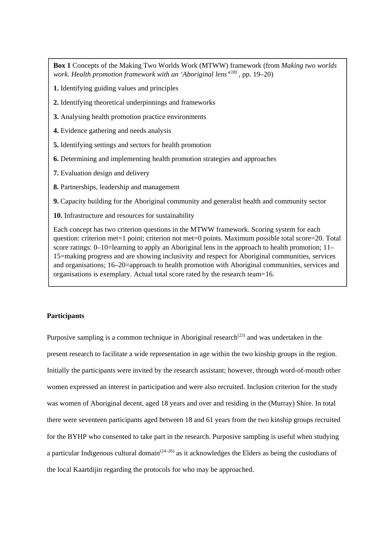**Box 1** Concepts of the Making Two Worlds Work (MTWW) framework (from *Making two worlds work. Health promotion framework with an 'Aboriginal lens'(18)* , pp. 19–20)

- **1.** Identifying guiding values and principles
- **2.** Identifying theoretical underpinnings and frameworks
- **3.** Analysing health promotion practice environments
- **4.** Evidence gathering and needs analysis
- **5.** Identifying settings and sectors for health promotion
- **6.** Determining and implementing health promotion strategies and approaches
- **7.** Evaluation design and delivery
- **8.** Partnerships, leadership and management

**9.** Capacity building for the Aboriginal community and generalist health and community sector

**10.** Infrastructure and resources for sustainability

Each concept has two criterion questions in the MTWW framework. Scoring system for each question: criterion met=1 point; criterion not met=0 points. Maximum possible total score=20. Total score ratings: 0–10=learning to apply an Aboriginal lens in the approach to health promotion; 11– 15=making progress and are showing inclusivity and respect for Aboriginal communities, services and organisations; 16–20=approach to health promotion with Aboriginal communities, services and organisations is exemplary. Actual total score rated by the research team=16.

#### **Participants**

Purposive sampling is a common technique in Aboriginal research<sup> $(23)$ </sup> and was undertaken in the present research to facilitate a wide representation in age within the two kinship groups in the region. Initially the participants were invited by the research assistant; however, through word-of-mouth other women expressed an interest in participation and were also recruited. Inclusion criterion for the study was women of Aboriginal decent, aged 18 years and over and residing in the (Murray) Shire. In total there were seventeen participants aged between 18 and 61 years from the two kinship groups recruited for the BYHP who consented to take part in the research. Purposive sampling is useful when studying a particular Indigenous cultural domain<sup> $(24-26)$ </sup> as it acknowledges the Elders as being the custodians of the local Kaartdijin regarding the protocols for who may be approached.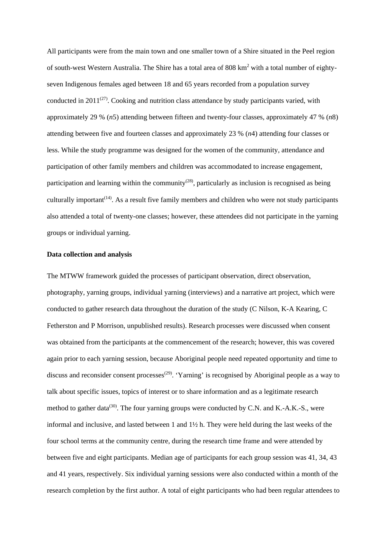All participants were from the main town and one smaller town of a Shire situated in the Peel region of south-west Western Australia. The Shire has a total area of 808 km<sup>2</sup> with a total number of eightyseven Indigenous females aged between 18 and 65 years recorded from a population survey conducted in 2011<sup> $(27)$ </sup>. Cooking and nutrition class attendance by study participants varied, with approximately 29 % (*n*5) attending between fifteen and twenty-four classes, approximately 47 % (*n*8) attending between five and fourteen classes and approximately 23 % (*n*4) attending four classes or less. While the study programme was designed for the women of the community, attendance and participation of other family members and children was accommodated to increase engagement, participation and learning within the community<sup>(28)</sup>, particularly as inclusion is recognised as being culturally important<sup> $(14)$ </sup>. As a result five family members and children who were not study participants also attended a total of twenty-one classes; however, these attendees did not participate in the yarning groups or individual yarning.

#### **Data collection and analysis**

The MTWW framework guided the processes of participant observation, direct observation, photography, yarning groups, individual yarning (interviews) and a narrative art project, which were conducted to gather research data throughout the duration of the study (C Nilson, K-A Kearing, C Fetherston and P Morrison, unpublished results). Research processes were discussed when consent was obtained from the participants at the commencement of the research; however, this was covered again prior to each yarning session, because Aboriginal people need repeated opportunity and time to discuss and reconsider consent processes<sup>(29)</sup>. 'Yarning' is recognised by Aboriginal people as a way to talk about specific issues, topics of interest or to share information and as a legitimate research method to gather data<sup>(30)</sup>. The four varning groups were conducted by C.N. and K.-A.K.-S., were informal and inclusive, and lasted between 1 and 1½ h. They were held during the last weeks of the four school terms at the community centre, during the research time frame and were attended by between five and eight participants. Median age of participants for each group session was 41, 34, 43 and 41 years, respectively. Six individual yarning sessions were also conducted within a month of the research completion by the first author. A total of eight participants who had been regular attendees to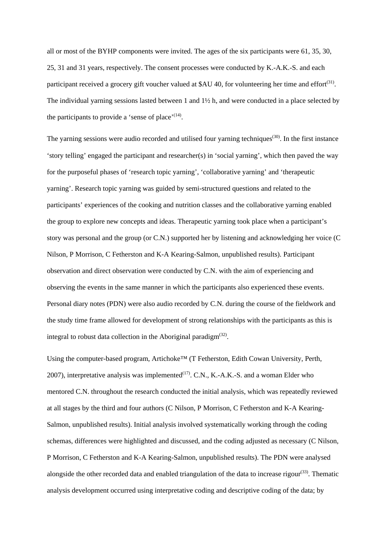all or most of the BYHP components were invited. The ages of the six participants were 61, 35, 30, 25, 31 and 31 years, respectively. The consent processes were conducted by K.-A.K.-S. and each participant received a grocery gift voucher valued at \$AU 40, for volunteering her time and effort<sup>(31)</sup>. The individual yarning sessions lasted between 1 and  $1\frac{1}{2}$  h, and were conducted in a place selected by the participants to provide a 'sense of place'<sup>(14)</sup>.

The yarning sessions were audio recorded and utilised four yarning techniques<sup>(30)</sup>. In the first instance 'story telling' engaged the participant and researcher(s) in 'social yarning', which then paved the way for the purposeful phases of 'research topic yarning', 'collaborative yarning' and 'therapeutic yarning'. Research topic yarning was guided by semi-structured questions and related to the participants' experiences of the cooking and nutrition classes and the collaborative yarning enabled the group to explore new concepts and ideas. Therapeutic yarning took place when a participant's story was personal and the group (or C.N.) supported her by listening and acknowledging her voice (C Nilson, P Morrison, C Fetherston and K-A Kearing-Salmon, unpublished results). Participant observation and direct observation were conducted by C.N. with the aim of experiencing and observing the events in the same manner in which the participants also experienced these events. Personal diary notes (PDN) were also audio recorded by C.N. during the course of the fieldwork and the study time frame allowed for development of strong relationships with the participants as this is integral to robust data collection in the Aboriginal paradigm<sup> $(32)$ </sup>.

Using the computer-based program, Artichoke™ (T Fetherston, Edith Cowan University, Perth, 2007), interpretative analysis was implemented<sup> $(17)$ </sup>. C.N., K.-A.K.-S. and a woman Elder who mentored C.N. throughout the research conducted the initial analysis, which was repeatedly reviewed at all stages by the third and four authors (C Nilson, P Morrison, C Fetherston and K-A Kearing-Salmon, unpublished results). Initial analysis involved systematically working through the coding schemas, differences were highlighted and discussed, and the coding adjusted as necessary (C Nilson, P Morrison, C Fetherston and K-A Kearing-Salmon, unpublished results). The PDN were analysed alongside the other recorded data and enabled triangulation of the data to increase rigour<sup> $(33)$ </sup>. Thematic analysis development occurred using interpretative coding and descriptive coding of the data; by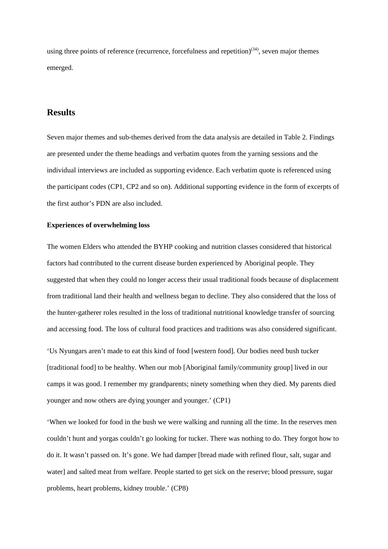using three points of reference (recurrence, forcefulness and repetition) $(34)$ , seven major themes emerged.

## **Results**

Seven major themes and sub-themes derived from the data analysis are detailed in Table 2. Findings are presented under the theme headings and verbatim quotes from the yarning sessions and the individual interviews are included as supporting evidence. Each verbatim quote is referenced using the participant codes (CP1, CP2 and so on). Additional supporting evidence in the form of excerpts of the first author's PDN are also included.

#### **Experiences of overwhelming loss**

The women Elders who attended the BYHP cooking and nutrition classes considered that historical factors had contributed to the current disease burden experienced by Aboriginal people. They suggested that when they could no longer access their usual traditional foods because of displacement from traditional land their health and wellness began to decline. They also considered that the loss of the hunter-gatherer roles resulted in the loss of traditional nutritional knowledge transfer of sourcing and accessing food. The loss of cultural food practices and traditions was also considered significant.

'Us Nyungars aren't made to eat this kind of food [western food]. Our bodies need bush tucker [traditional food] to be healthy. When our mob [Aboriginal family/community group] lived in our camps it was good. I remember my grandparents; ninety something when they died. My parents died younger and now others are dying younger and younger.' (CP1)

'When we looked for food in the bush we were walking and running all the time. In the reserves men couldn't hunt and yorgas couldn't go looking for tucker. There was nothing to do. They forgot how to do it. It wasn't passed on. It's gone. We had damper [bread made with refined flour, salt, sugar and water] and salted meat from welfare. People started to get sick on the reserve; blood pressure, sugar problems, heart problems, kidney trouble.' (CP8)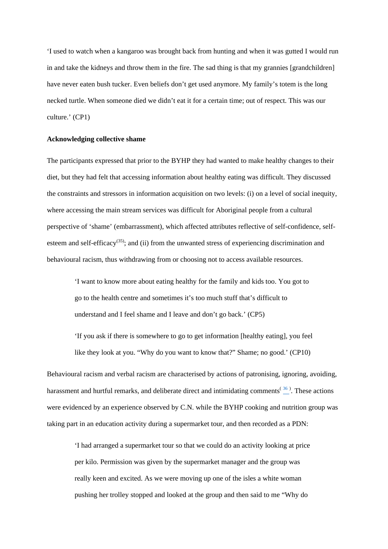'I used to watch when a kangaroo was brought back from hunting and when it was gutted I would run in and take the kidneys and throw them in the fire. The sad thing is that my grannies [grandchildren] have never eaten bush tucker. Even beliefs don't get used anymore. My family's totem is the long necked turtle. When someone died we didn't eat it for a certain time; out of respect. This was our culture.' (CP1)

#### **Acknowledging collective shame**

The participants expressed that prior to the BYHP they had wanted to make healthy changes to their diet, but they had felt that accessing information about healthy eating was difficult. They discussed the constraints and stressors in information acquisition on two levels: (i) on a level of social inequity, where accessing the main stream services was difficult for Aboriginal people from a cultural perspective of 'shame' (embarrassment), which affected attributes reflective of self-confidence, selfesteem and self-efficacy<sup>(35)</sup>; and (ii) from the unwanted stress of experiencing discrimination and behavioural racism, thus withdrawing from or choosing not to access available resources.

'I want to know more about eating healthy for the family and kids too. You got to go to the health centre and sometimes it's too much stuff that's difficult to understand and I feel shame and I leave and don't go back.' (CP5)

'If you ask if there is somewhere to go to get information [healthy eating], you feel like they look at you. "Why do you want to know that?" Shame; no good.' (CP10)

Behavioural racism and verbal racism are characterised by actions of patronising, ignoring, avoiding, harassment and hurtful remarks, and deliberate direct and intimidating comments  $(36)$ . These actions were evidenced by an experience observed by C.N. while the BYHP cooking and nutrition group was taking part in an education activity during a supermarket tour, and then recorded as a PDN:

'I had arranged a supermarket tour so that we could do an activity looking at price per kilo. Permission was given by the supermarket manager and the group was really keen and excited. As we were moving up one of the isles a white woman pushing her trolley stopped and looked at the group and then said to me "Why do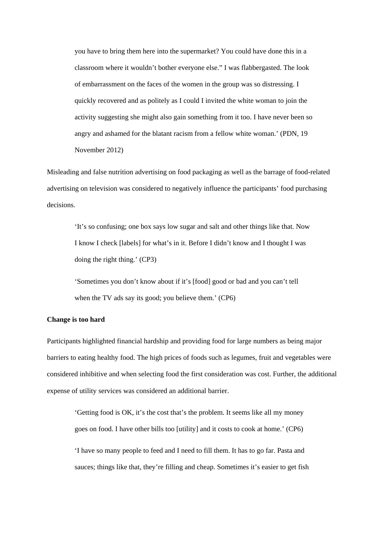you have to bring them here into the supermarket? You could have done this in a classroom where it wouldn't bother everyone else." I was flabbergasted. The look of embarrassment on the faces of the women in the group was so distressing. I quickly recovered and as politely as I could I invited the white woman to join the activity suggesting she might also gain something from it too. I have never been so angry and ashamed for the blatant racism from a fellow white woman.' (PDN, 19 November 2012)

Misleading and false nutrition advertising on food packaging as well as the barrage of food-related advertising on television was considered to negatively influence the participants' food purchasing decisions.

'It's so confusing; one box says low sugar and salt and other things like that. Now I know I check [labels] for what's in it. Before I didn't know and I thought I was doing the right thing.' (CP3)

'Sometimes you don't know about if it's [food] good or bad and you can't tell when the TV ads say its good; you believe them.' (CP6)

#### **Change is too hard**

Participants highlighted financial hardship and providing food for large numbers as being major barriers to eating healthy food. The high prices of foods such as legumes, fruit and vegetables were considered inhibitive and when selecting food the first consideration was cost. Further, the additional expense of utility services was considered an additional barrier.

'Getting food is OK, it's the cost that's the problem. It seems like all my money goes on food. I have other bills too [utility] and it costs to cook at home.' (CP6) 'I have so many people to feed and I need to fill them. It has to go far. Pasta and sauces; things like that, they're filling and cheap. Sometimes it's easier to get fish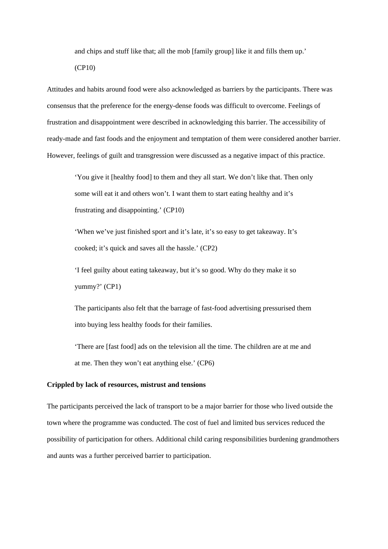and chips and stuff like that; all the mob [family group] like it and fills them up.'

(CP10)

Attitudes and habits around food were also acknowledged as barriers by the participants. There was consensus that the preference for the energy-dense foods was difficult to overcome. Feelings of frustration and disappointment were described in acknowledging this barrier. The accessibility of ready-made and fast foods and the enjoyment and temptation of them were considered another barrier. However, feelings of guilt and transgression were discussed as a negative impact of this practice.

'You give it [healthy food] to them and they all start. We don't like that. Then only some will eat it and others won't. I want them to start eating healthy and it's frustrating and disappointing.' (CP10)

'When we've just finished sport and it's late, it's so easy to get takeaway. It's cooked; it's quick and saves all the hassle.' (CP2)

'I feel guilty about eating takeaway, but it's so good. Why do they make it so yummy?' (CP1)

The participants also felt that the barrage of fast-food advertising pressurised them into buying less healthy foods for their families.

'There are [fast food] ads on the television all the time. The children are at me and at me. Then they won't eat anything else.' (CP6)

#### **Crippled by lack of resources, mistrust and tensions**

The participants perceived the lack of transport to be a major barrier for those who lived outside the town where the programme was conducted. The cost of fuel and limited bus services reduced the possibility of participation for others. Additional child caring responsibilities burdening grandmothers and aunts was a further perceived barrier to participation.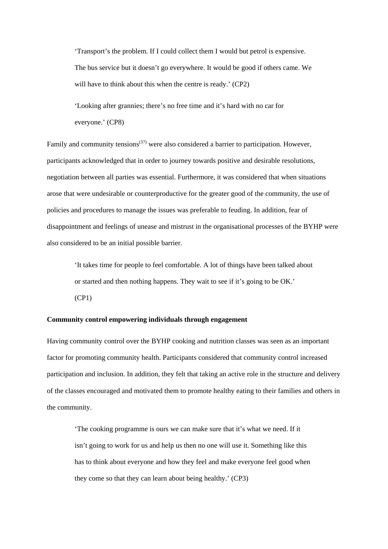'Transport's the problem. If I could collect them I would but petrol is expensive. The bus service but it doesn't go everywhere. It would be good if others came. We will have to think about this when the centre is ready.' (CP2)

'Looking after grannies; there's no free time and it's hard with no car for everyone.' (CP8)

Family and community tensions<sup> $(37)$ </sup> were also considered a barrier to participation. However, participants acknowledged that in order to journey towards positive and desirable resolutions, negotiation between all parties was essential. Furthermore, it was considered that when situations arose that were undesirable or counterproductive for the greater good of the community, the use of policies and procedures to manage the issues was preferable to feuding. In addition, fear of disappointment and feelings of unease and mistrust in the organisational processes of the BYHP were also considered to be an initial possible barrier.

'It takes time for people to feel comfortable. A lot of things have been talked about or started and then nothing happens. They wait to see if it's going to be OK.' (CP1)

#### **Community control empowering individuals through engagement**

Having community control over the BYHP cooking and nutrition classes was seen as an important factor for promoting community health. Participants considered that community control increased participation and inclusion. In addition, they felt that taking an active role in the structure and delivery of the classes encouraged and motivated them to promote healthy eating to their families and others in the community.

'The cooking programme is ours we can make sure that it's what we need. If it isn't going to work for us and help us then no one will use it. Something like this has to think about everyone and how they feel and make everyone feel good when they come so that they can learn about being healthy.' (CP3)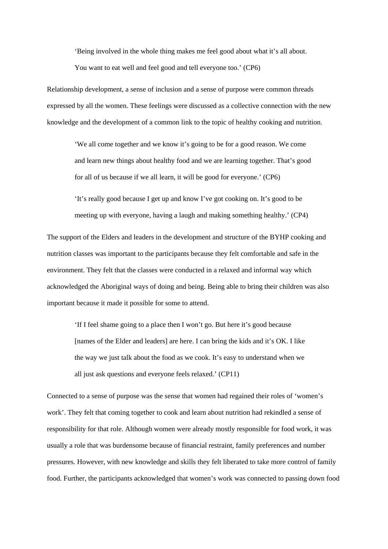'Being involved in the whole thing makes me feel good about what it's all about.

You want to eat well and feel good and tell everyone too.' (CP6)

Relationship development, a sense of inclusion and a sense of purpose were common threads expressed by all the women. These feelings were discussed as a collective connection with the new knowledge and the development of a common link to the topic of healthy cooking and nutrition.

'We all come together and we know it's going to be for a good reason. We come and learn new things about healthy food and we are learning together. That's good for all of us because if we all learn, it will be good for everyone.' (CP6)

'It's really good because I get up and know I've got cooking on. It's good to be meeting up with everyone, having a laugh and making something healthy.' (CP4)

The support of the Elders and leaders in the development and structure of the BYHP cooking and nutrition classes was important to the participants because they felt comfortable and safe in the environment. They felt that the classes were conducted in a relaxed and informal way which acknowledged the Aboriginal ways of doing and being. Being able to bring their children was also important because it made it possible for some to attend.

'If I feel shame going to a place then I won't go. But here it's good because [names of the Elder and leaders] are here. I can bring the kids and it's OK. I like the way we just talk about the food as we cook. It's easy to understand when we all just ask questions and everyone feels relaxed.' (CP11)

Connected to a sense of purpose was the sense that women had regained their roles of 'women's work'. They felt that coming together to cook and learn about nutrition had rekindled a sense of responsibility for that role. Although women were already mostly responsible for food work, it was usually a role that was burdensome because of financial restraint, family preferences and number pressures. However, with new knowledge and skills they felt liberated to take more control of family food. Further, the participants acknowledged that women's work was connected to passing down food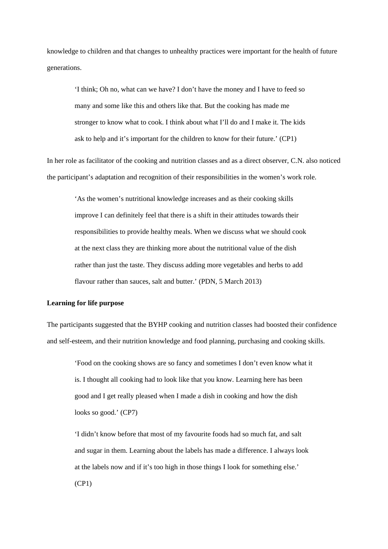knowledge to children and that changes to unhealthy practices were important for the health of future generations.

'I think; Oh no, what can we have? I don't have the money and I have to feed so many and some like this and others like that. But the cooking has made me stronger to know what to cook. I think about what I'll do and I make it. The kids ask to help and it's important for the children to know for their future.' (CP1)

In her role as facilitator of the cooking and nutrition classes and as a direct observer, C.N. also noticed the participant's adaptation and recognition of their responsibilities in the women's work role.

'As the women's nutritional knowledge increases and as their cooking skills improve I can definitely feel that there is a shift in their attitudes towards their responsibilities to provide healthy meals. When we discuss what we should cook at the next class they are thinking more about the nutritional value of the dish rather than just the taste. They discuss adding more vegetables and herbs to add flavour rather than sauces, salt and butter.' (PDN, 5 March 2013)

#### **Learning for life purpose**

The participants suggested that the BYHP cooking and nutrition classes had boosted their confidence and self-esteem, and their nutrition knowledge and food planning, purchasing and cooking skills.

'Food on the cooking shows are so fancy and sometimes I don't even know what it is. I thought all cooking had to look like that you know. Learning here has been good and I get really pleased when I made a dish in cooking and how the dish looks so good.' (CP7)

'I didn't know before that most of my favourite foods had so much fat, and salt and sugar in them. Learning about the labels has made a difference. I always look at the labels now and if it's too high in those things I look for something else.' (CP1)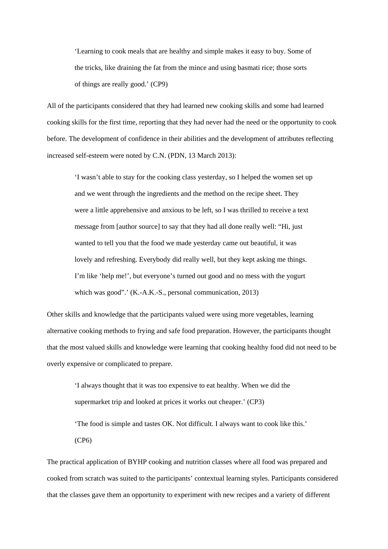'Learning to cook meals that are healthy and simple makes it easy to buy. Some of the tricks, like draining the fat from the mince and using basmati rice; those sorts of things are really good.' (CP9)

All of the participants considered that they had learned new cooking skills and some had learned cooking skills for the first time, reporting that they had never had the need or the opportunity to cook before. The development of confidence in their abilities and the development of attributes reflecting increased self-esteem were noted by C.N. (PDN, 13 March 2013):

'I wasn't able to stay for the cooking class yesterday, so I helped the women set up and we went through the ingredients and the method on the recipe sheet. They were a little apprehensive and anxious to be left, so I was thrilled to receive a text message from [author source] to say that they had all done really well: "Hi, just wanted to tell you that the food we made yesterday came out beautiful, it was lovely and refreshing. Everybody did really well, but they kept asking me things. I'm like 'help me!', but everyone's turned out good and no mess with the yogurt which was good".' (K.-A.K.-S., personal communication, 2013)

Other skills and knowledge that the participants valued were using more vegetables, learning alternative cooking methods to frying and safe food preparation. However, the participants thought that the most valued skills and knowledge were learning that cooking healthy food did not need to be overly expensive or complicated to prepare.

'I always thought that it was too expensive to eat healthy. When we did the supermarket trip and looked at prices it works out cheaper.' (CP3)

'The food is simple and tastes OK. Not difficult. I always want to cook like this.' (CP6)

The practical application of BYHP cooking and nutrition classes where all food was prepared and cooked from scratch was suited to the participants' contextual learning styles. Participants considered that the classes gave them an opportunity to experiment with new recipes and a variety of different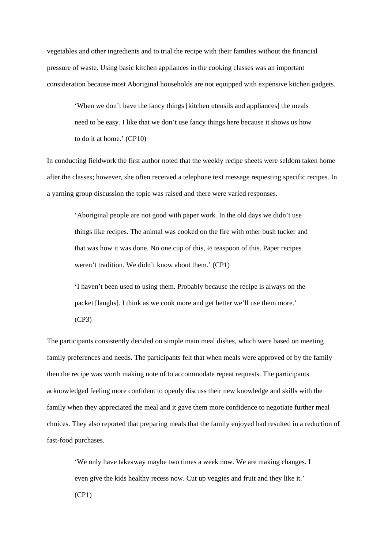vegetables and other ingredients and to trial the recipe with their families without the financial pressure of waste. Using basic kitchen appliances in the cooking classes was an important consideration because most Aboriginal households are not equipped with expensive kitchen gadgets.

'When we don't have the fancy things [kitchen utensils and appliances] the meals need to be easy. I like that we don't use fancy things here because it shows us how to do it at home.' (CP10)

In conducting fieldwork the first author noted that the weekly recipe sheets were seldom taken home after the classes; however, she often received a telephone text message requesting specific recipes. In a yarning group discussion the topic was raised and there were varied responses.

'Aboriginal people are not good with paper work. In the old days we didn't use things like recipes. The animal was cooked on the fire with other bush tucker and that was how it was done. No one cup of this, ½ teaspoon of this. Paper recipes weren't tradition. We didn't know about them.' (CP1)

'I haven't been used to using them. Probably because the recipe is always on the packet [laughs]. I think as we cook more and get better we'll use them more.' (CP3)

The participants consistently decided on simple main meal dishes, which were based on meeting family preferences and needs. The participants felt that when meals were approved of by the family then the recipe was worth making note of to accommodate repeat requests. The participants acknowledged feeling more confident to openly discuss their new knowledge and skills with the family when they appreciated the meal and it gave them more confidence to negotiate further meal choices. They also reported that preparing meals that the family enjoyed had resulted in a reduction of fast-food purchases.

'We only have takeaway maybe two times a week now. We are making changes. I even give the kids healthy recess now. Cut up veggies and fruit and they like it.' (CP1)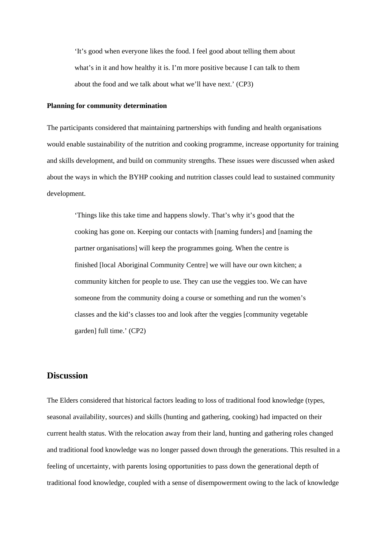'It's good when everyone likes the food. I feel good about telling them about what's in it and how healthy it is. I'm more positive because I can talk to them about the food and we talk about what we'll have next.' (CP3)

#### **Planning for community determination**

The participants considered that maintaining partnerships with funding and health organisations would enable sustainability of the nutrition and cooking programme, increase opportunity for training and skills development, and build on community strengths. These issues were discussed when asked about the ways in which the BYHP cooking and nutrition classes could lead to sustained community development.

'Things like this take time and happens slowly. That's why it's good that the cooking has gone on. Keeping our contacts with [naming funders] and [naming the partner organisations] will keep the programmes going. When the centre is finished [local Aboriginal Community Centre] we will have our own kitchen; a community kitchen for people to use. They can use the veggies too. We can have someone from the community doing a course or something and run the women's classes and the kid's classes too and look after the veggies [community vegetable garden] full time.' (CP2)

### **Discussion**

The Elders considered that historical factors leading to loss of traditional food knowledge (types, seasonal availability, sources) and skills (hunting and gathering, cooking) had impacted on their current health status. With the relocation away from their land, hunting and gathering roles changed and traditional food knowledge was no longer passed down through the generations. This resulted in a feeling of uncertainty, with parents losing opportunities to pass down the generational depth of traditional food knowledge, coupled with a sense of disempowerment owing to the lack of knowledge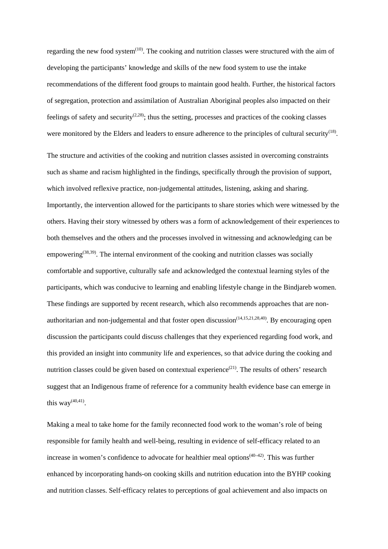regarding the new food system $(10)$ . The cooking and nutrition classes were structured with the aim of developing the participants' knowledge and skills of the new food system to use the intake recommendations of the different food groups to maintain good health. Further, the historical factors of segregation, protection and assimilation of Australian Aboriginal peoples also impacted on their feelings of safety and security<sup> $(2,28)$ </sup>; thus the setting, processes and practices of the cooking classes were monitored by the Elders and leaders to ensure adherence to the principles of cultural security<sup>(18)</sup>.

The structure and activities of the cooking and nutrition classes assisted in overcoming constraints such as shame and racism highlighted in the findings, specifically through the provision of support, which involved reflexive practice, non-judgemental attitudes, listening, asking and sharing. Importantly, the intervention allowed for the participants to share stories which were witnessed by the others. Having their story witnessed by others was a form of acknowledgement of their experiences to both themselves and the others and the processes involved in witnessing and acknowledging can be empowering<sup> $(38,39)$ </sup>. The internal environment of the cooking and nutrition classes was socially comfortable and supportive, culturally safe and acknowledged the contextual learning styles of the participants, which was conducive to learning and enabling lifestyle change in the Bindjareb women. These findings are supported by recent research, which also recommends approaches that are nonauthoritarian and non-judgemental and that foster open discussion<sup> $(14,15,21,28,40)$ </sup>. By encouraging open discussion the participants could discuss challenges that they experienced regarding food work, and this provided an insight into community life and experiences, so that advice during the cooking and nutrition classes could be given based on contextual experience<sup> $(21)$ </sup>. The results of others' research suggest that an Indigenous frame of reference for a community health evidence base can emerge in this way $(40,41)$ .

Making a meal to take home for the family reconnected food work to the woman's role of being responsible for family health and well-being, resulting in evidence of self-efficacy related to an increase in women's confidence to advocate for healthier meal options<sup> $(40-42)$ </sup>. This was further enhanced by incorporating hands-on cooking skills and nutrition education into the BYHP cooking and nutrition classes. Self-efficacy relates to perceptions of goal achievement and also impacts on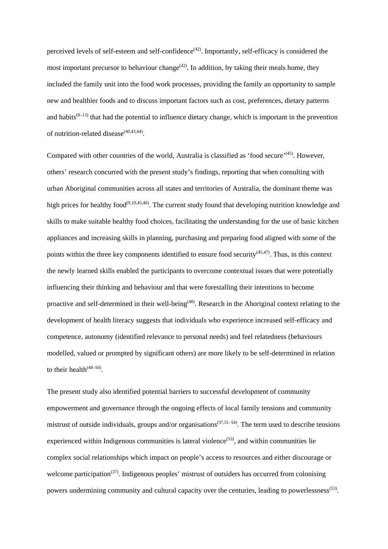perceived levels of self-esteem and self-confidence<sup>(42)</sup>. Importantly, self-efficacy is considered the most important precursor to behaviour change<sup> $(42)$ </sup>. In addition, by taking their meals home, they included the family unit into the food work processes, providing the family an opportunity to sample new and healthier foods and to discuss important factors such as cost, preferences, dietary patterns and habits<sup> $(8-13)$ </sup> that had the potential to influence dietary change, which is important in the prevention of nutrition-related disease $(40,43,44)$ .

Compared with other countries of the world, Australia is classified as 'food secure'<sup>(45)</sup>. However, others' research concurred with the present study's findings, reporting that when consulting with urban Aboriginal communities across all states and territories of Australia, the dominant theme was high prices for healthy food<sup> $(9,10,45,46)$ </sup>. The current study found that developing nutrition knowledge and skills to make suitable healthy food choices, facilitating the understanding for the use of basic kitchen appliances and increasing skills in planning, purchasing and preparing food aligned with some of the points within the three key components identified to ensure food security<sup> $(45,47)$ </sup>. Thus, in this context the newly learned skills enabled the participants to overcome contextual issues that were potentially influencing their thinking and behaviour and that were forestalling their intentions to become proactive and self-determined in their well-being<sup>(48)</sup>. Research in the Aboriginal context relating to the development of health literacy suggests that individuals who experience increased self-efficacy and competence, autonomy (identified relevance to personal needs) and feel relatedness (behaviours modelled, valued or prompted by significant others) are more likely to be self-determined in relation to their health $(48-50)$ .

The present study also identified potential barriers to successful development of community empowerment and governance through the ongoing effects of local family tensions and community mistrust of outside individuals, groups and/or organisations<sup> $(37,51-54)$ </sup>. The term used to describe tensions experienced within Indigenous communities is lateral violence<sup> $(53)$ </sup>, and within communities lie complex social relationships which impact on people's access to resources and either discourage or welcome participation<sup> $(37)$ </sup>. Indigenous peoples' mistrust of outsiders has occurred from colonising powers undermining community and cultural capacity over the centuries, leading to powerlessness<sup> $(53)$ </sup>.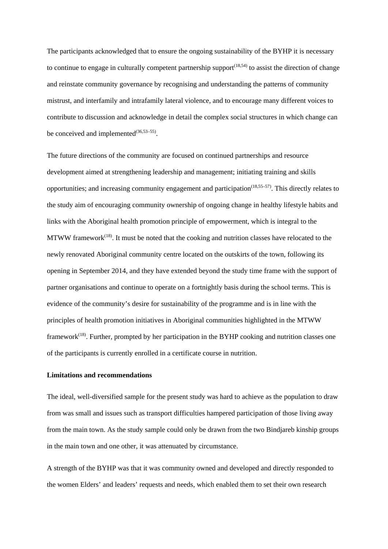The participants acknowledged that to ensure the ongoing sustainability of the BYHP it is necessary to continue to engage in culturally competent partnership support $(18,54)$  to assist the direction of change and reinstate community governance by recognising and understanding the patterns of community mistrust, and interfamily and intrafamily lateral violence, and to encourage many different voices to contribute to discussion and acknowledge in detail the complex social structures in which change can be conceived and implemented $^{(36,53-55)}$ .

The future directions of the community are focused on continued partnerships and resource development aimed at strengthening leadership and management; initiating training and skills opportunities; and increasing community engagement and participation<sup>(18,55–57)</sup>. This directly relates to the study aim of encouraging community ownership of ongoing change in healthy lifestyle habits and links with the Aboriginal health promotion principle of empowerment, which is integral to the MTWW framework<sup> $(18)$ </sup>. It must be noted that the cooking and nutrition classes have relocated to the newly renovated Aboriginal community centre located on the outskirts of the town, following its opening in September 2014, and they have extended beyond the study time frame with the support of partner organisations and continue to operate on a fortnightly basis during the school terms. This is evidence of the community's desire for sustainability of the programme and is in line with the principles of health promotion initiatives in Aboriginal communities highlighted in the MTWW framework<sup> $(18)$ </sup>. Further, prompted by her participation in the BYHP cooking and nutrition classes one of the participants is currently enrolled in a certificate course in nutrition.

#### **Limitations and recommendations**

The ideal, well-diversified sample for the present study was hard to achieve as the population to draw from was small and issues such as transport difficulties hampered participation of those living away from the main town. As the study sample could only be drawn from the two Bindjareb kinship groups in the main town and one other, it was attenuated by circumstance.

A strength of the BYHP was that it was community owned and developed and directly responded to the women Elders' and leaders' requests and needs, which enabled them to set their own research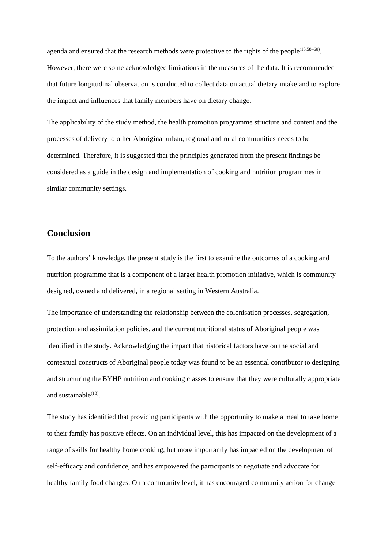agenda and ensured that the research methods were protective to the rights of the people<sup> $(18,58-60)$ </sup>. However, there were some acknowledged limitations in the measures of the data. It is recommended that future longitudinal observation is conducted to collect data on actual dietary intake and to explore the impact and influences that family members have on dietary change.

The applicability of the study method, the health promotion programme structure and content and the processes of delivery to other Aboriginal urban, regional and rural communities needs to be determined. Therefore, it is suggested that the principles generated from the present findings be considered as a guide in the design and implementation of cooking and nutrition programmes in similar community settings.

## **Conclusion**

To the authors' knowledge, the present study is the first to examine the outcomes of a cooking and nutrition programme that is a component of a larger health promotion initiative, which is community designed, owned and delivered, in a regional setting in Western Australia.

The importance of understanding the relationship between the colonisation processes, segregation, protection and assimilation policies, and the current nutritional status of Aboriginal people was identified in the study. Acknowledging the impact that historical factors have on the social and contextual constructs of Aboriginal people today was found to be an essential contributor to designing and structuring the BYHP nutrition and cooking classes to ensure that they were culturally appropriate and sustainable $^{(18)}$ .

The study has identified that providing participants with the opportunity to make a meal to take home to their family has positive effects. On an individual level, this has impacted on the development of a range of skills for healthy home cooking, but more importantly has impacted on the development of self-efficacy and confidence, and has empowered the participants to negotiate and advocate for healthy family food changes. On a community level, it has encouraged community action for change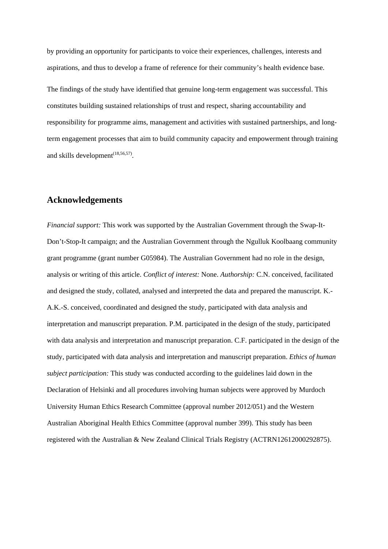by providing an opportunity for participants to voice their experiences, challenges, interests and aspirations, and thus to develop a frame of reference for their community's health evidence base.

The findings of the study have identified that genuine long-term engagement was successful. This constitutes building sustained relationships of trust and respect, sharing accountability and responsibility for programme aims, management and activities with sustained partnerships, and longterm engagement processes that aim to build community capacity and empowerment through training and skills development<sup> $(18,56,57)$ </sup>.

## **Acknowledgements**

*Financial support:* This work was supported by the Australian Government through the Swap-It-Don't-Stop-It campaign; and the Australian Government through the Ngulluk Koolbaang community grant programme (grant number G05984). The Australian Government had no role in the design, analysis or writing of this article. *Conflict of interest:* None. *Authorship:* C.N. conceived, facilitated and designed the study, collated, analysed and interpreted the data and prepared the manuscript. K.- A.K.-S. conceived, coordinated and designed the study, participated with data analysis and interpretation and manuscript preparation. P.M. participated in the design of the study, participated with data analysis and interpretation and manuscript preparation. C.F. participated in the design of the study, participated with data analysis and interpretation and manuscript preparation. *Ethics of human subject participation:* This study was conducted according to the guidelines laid down in the Declaration of Helsinki and all procedures involving human subjects were approved by Murdoch University Human Ethics Research Committee (approval number 2012/051) and the Western Australian Aboriginal Health Ethics Committee (approval number 399). This study has been registered with the Australian & New Zealand Clinical Trials Registry (ACTRN12612000292875).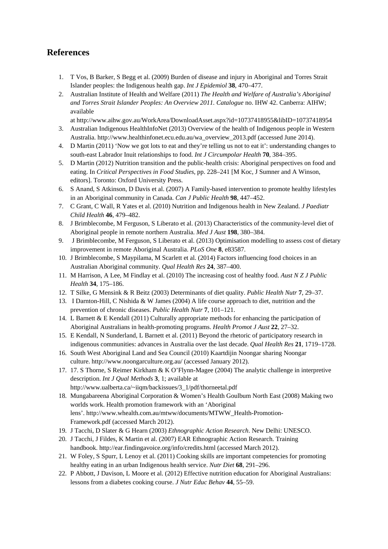## **References**

- 1. T Vos, B Barker, S Begg et al. (2009) Burden of disease and injury in Aboriginal and Torres Strait Islander peoples: the Indigenous health gap. *Int J Epidemiol* **38**, 470–477.
- 2. Australian Institute of Health and Welfare (2011) *The Health and Welfare of Australia's Aboriginal and Torres Strait Islander Peoples: An Overview 2011. Catalogue* no. IHW 42. Canberra: AIHW; available

at http://www.aihw.gov.au/WorkArea/DownloadAsset.aspx?id=10737418955&libID=10737418954

- 3. Australian Indigenous HealthInfoNet (2013) Overview of the health of Indigenous people in Western Australia. http://www.healthinfonet.ecu.edu.au/wa\_overview\_2013.pdf (accessed June 2014).
- 4. D Martin (2011) 'Now we got lots to eat and they're telling us not to eat it': understanding changes to south-east Labrador Inuit relationships to food. *Int J Circumpolar Health* **70**, 384–395.
- 5. D Martin (2012) Nutrition transition and the public-health crisis: Aboriginal perspectives on food and eating. In *Critical Perspectives in Food Studies*, pp. 228–241 [M Koc, J Sumner and A Winson, editors]. Toronto: Oxford University Press.
- 6. S Anand, S Atkinson, D Davis et al. (2007) A Family-based intervention to promote healthy lifestyles in an Aboriginal community in Canada. *Can J Public Health* **98**, 447–452.
- 7. C Grant, C Wall, R Yates et al. (2010) Nutrition and Indigenous health in New Zealand. *J Paediatr Child Health* **46**, 479–482.
- 8. J Brimblecombe, M Ferguson, S Liberato et al. (2013) Characteristics of the community-level diet of Aboriginal people in remote northern Australia. *Med J Aust* **198**, 380–384.
- 9. J Brimblecombe, M Ferguson, S Liberato et al. (2013) Optimisation modelling to assess cost of dietary improvement in remote Aboriginal Australia. *PLoS One* **8**, e83587.
- 10. J Brimblecombe, S Maypilama, M Scarlett et al. (2014) Factors influencing food choices in an Australian Aboriginal community. *Qual Health Res* **24**, 387–400.
- 11. M Harrison, A Lee, M Findlay et al. (2010) The increasing cost of healthy food. *Aust N Z J Public Health* **34**, 175–186.
- 12. T Silke, G Mensink & R Beitz (2003) Determinants of diet quality. *Public Health Nutr* **7**, 29–37.
- 13. I Darnton-Hill, C Nishida & W James (2004) A life course approach to diet, nutrition and the prevention of chronic diseases. *Public Health Nutr* **7**, 101–121.
- 14. L Barnett & E Kendall (2011) Culturally appropriate methods for enhancing the participation of Aboriginal Australians in health-promoting programs. *Health Promot J Aust* **22**, 27–32.
- 15. E Kendall, N Sunderland, L Barnett et al. (2011) Beyond the rhetoric of participatory research in indigenous communities: advances in Australia over the last decade. *Qual Health Res* **21**, 1719–1728.
- 16. South West Aboriginal Land and Sea Council (2010) Kaartdijin Noongar sharing Noongar culture. http://www.noongarculture.org.au/ (accessed January 2012).
- 17. 17. S Thorne, S Reimer Kirkham & K O'Flynn-Magee (2004) The analytic challenge in interpretive description. *Int J Qual Methods* **3**, 1; available at http://www.ualberta.ca/~iiqm/backissues/3\_1/pdf/thorneetal.pdf
- 18. Mungabareena Aboriginal Corporation & Women's Health Goulbum North East (2008) Making two worlds work. Health promotion framework with an 'Aboriginal lens'. http://www.whealth.com.au/mtww/documents/MTWW\_Health-Promotion-Framework.pdf (accessed March 2012).
- 19. J Tacchi, D Slater & G Hearn (2003) *Ethnographic Action Research*. New Delhi: UNESCO.
- 20. J Tacchi, J Fildes, K Martin et al. (2007) EAR Ethnographic Action Research. Training handbook. http://ear.findingavoice.org/info/credits.html (accessed March 2012).
- 21. W Foley, S Spurr, L Lenoy et al. (2011) Cooking skills are important competencies for promoting healthy eating in an urban Indigenous health service. *Nutr Diet* **68**, 291–296.
- 22. P Abbott, J Davison, L Moore et al. (2012) Effective nutrition education for Aboriginal Australians: lessons from a diabetes cooking course. *J Nutr Educ Behav* **44**, 55–59.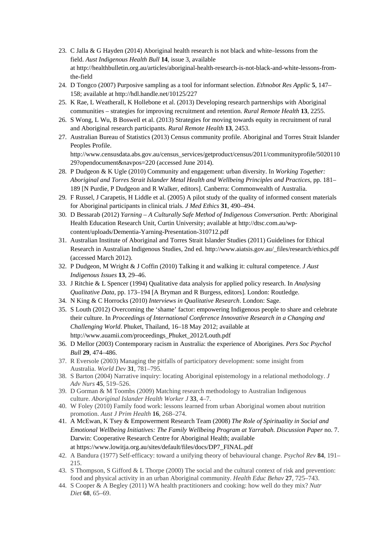- 23. C Jalla & G Hayden (2014) Aboriginal health research is not black and white–lessons from the field. *Aust Indigenous Health Bull* **14**, issue 3, available at http://healthbulletin.org.au/articles/aboriginal-health-research-is-not-black-and-white-lessons-fromthe-field
- 24. D Tongco (2007) Purposive sampling as a tool for informant selection. *Ethnobot Res Applic* **5**, 147– 158; available at http://hdl.handle.net/10125/227
- 25. K Rae, L Weatherall, K Hollebone et al. (2013) Developing research partnerships with Aboriginal communities – strategies for improving recruitment and retention. *Rural Remote Health* **13**, 2255.
- 26. S Wong, L Wu, B Boswell et al. (2013) Strategies for moving towards equity in recruitment of rural and Aboriginal research participants. *Rural Remote Health* **13**, 2453.
- 27. Australian Bureau of Statistics (2013) Census community profile. Aboriginal and Torres Strait Islander Peoples Profile. http://www.censusdata.abs.gov.au/census\_services/getproduct/census/2011/communityprofile/5020110
- 29?opendocument&navpos=220 (accessed June 2014). 28. P Dudgeon & K Ugle (2010) Community and engagement: urban diversity. In *Working Together: Aboriginal and Torres Strait Islander Metal Health and Wellbeing Principles and Practices*, pp. 181– 189 [N Purdie, P Dudgeon and R Walker, editors]. Canberra: Commonwealth of Australia.
- 29. F Russel, J Carapetis, H Liddle et al. (2005) A pilot study of the quality of informed consent materials for Aboriginal participants in clinical trials. *J Med Ethics* **31**, 490–494.
- 30. D Bessarab (2012) *Yarning A Culturally Safe Method of Indigenous Conversation*. Perth: Aboriginal Health Education Research Unit, Curtin University; available at http://dtsc.com.au/wpcontent/uploads/Dementia-Yarning-Presentation-310712.pdf
- 31. Australian Institute of Aboriginal and Torres Strait Islander Studies (2011) Guidelines for Ethical Research in Australian Indigenous Studies, 2nd ed. http://www.aiatsis.gov.au/\_files/research/ethics.pdf (accessed March 2012).
- 32. P Dudgeon, M Wright & J Coffin (2010) Talking it and walking it: cultural competence. *J Aust Indigenous Issues* **13**, 29–46.
- 33. J Ritchie & L Spencer (1994) Qualitative data analysis for applied policy research. In *Analysing Qualitative Data*, pp. 173–194 [A Bryman and R Burgess, editors]. London: Routledge.
- 34. N King & C Horrocks (2010) *Interviews in Qualitative Research*. London: Sage.
- 35. S Louth (2012) Overcoming the 'shame' factor: empowering Indigenous people to share and celebrate their culture. In *Proceedings of International Conference Innovative Research in a Changing and Challenging World*. Phuket, Thailand, 16–18 May 2012; available at http://www.auamii.com/proceedings\_Phuket\_2012/Louth.pdf
- 36. D Mellor (2003) Contemporary racism in Australia: the experience of Aborigines. *Pers Soc Psychol Bull* **29**, 474–486.
- 37. R Eversole (2003) Managing the pitfalls of participatory development: some insight from Australia. *World Dev* **31**, 781–795.
- 38. S Barton (2004) Narrative inquiry: locating Aboriginal epistemology in a relational methodology. *J Adv Nurs* **45**, 519–526.
- 39. D Gorman & M Toombs (2009) Matching research methodology to Australian Indigenous culture. *Aboriginal Islander Health Worker J* **33**, 4–7.
- 40. W Foley (2010) Family food work: lessons learned from urban Aboriginal women about nutrition promotion. *Aust J Prim Health* **16**, 268–274.
- 41. A McEwan, K Tsey & Empowerment Research Team (2008) *The Role of Spirituality in Social and Emotional Wellbeing Initiatives: The Family Wellbeing Program at Yarrabah. Discussion Paper* no. 7. Darwin: Cooperative Research Centre for Aboriginal Health; available at https://www.lowitja.org.au/sites/default/files/docs/DP7\_FINAL.pdf
- 42. A Bandura (1977) Self-efficacy: toward a unifying theory of behavioural change. *Psychol Rev* **84**, 191– 215.
- 43. S Thompson, S Gifford & L Thorpe (2000) The social and the cultural context of risk and prevention: food and physical activity in an urban Aboriginal community. *Health Educ Behav* **27**, 725–743.
- 44. S Cooper & A Begley (2011) WA health practitioners and cooking: how well do they mix? *Nutr Diet* **68**, 65–69.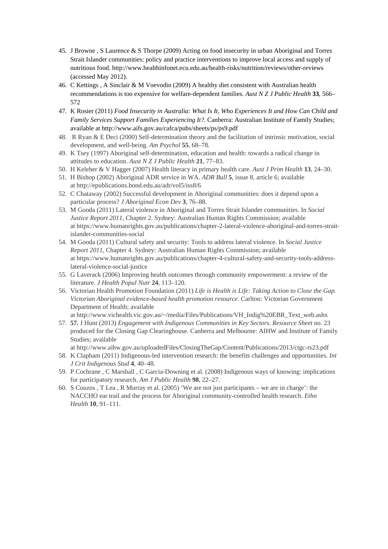- 45. J Browne , S Laurence & S Thorpe (2009) Acting on food insecurity in urban Aboriginal and Torres Strait Islander communities: policy and practice interventions to improve local access and supply of nutritious food. http://www.healthinfonet.ecu.edu.au/health-risks/nutrition/reviews/other-reviews (accessed May 2012).
- 46. C Kettings , A Sinclair & M Voevodin (2009) A healthy diet consistent with Australian health recommendations is too expensive for welfare-dependent families. *Aust N Z J Public Health* **33**, 566– 572
- 47. K Rosier (2011) *Food Insecurity in Australia: What Is It, Who Experiences It and How Can Child and Family Services Support Families Experiencing It?*. Canberra: Australian Institute of Family Studies; available at http://www.aifs.gov.au/cafca/pubs/sheets/ps/ps9.pdf
- 48. R Ryan & E Deci (2000) Self-determination theory and the facilitation of intrinsic motivation, social development, and well-being. *Am Psychol* **55**, 68–78.
- 49. K Tsey (1997) Aboriginal self-determination, education and health: towards a radical change in attitudes to education. *Aust N Z J Public Health* **21**, 77–83.
- 50. H Keleher & V Hagger (2007) Health literacy in primary health care. *Aust J Prim Health* **13**, 24–30.
- 51. H Bishop (2002) Aboriginal ADR service in WA. *ADR Bull* **5**, issue 8, article 6; available at http://epublications.bond.edu.au/adr/vol5/iss8/6
- 52. C Chataway (2002) Successful development in Aboriginal communities: does it depend upon a particular process? *J Aboriginal Econ Dev* **3**, 76–88.
- 53. M Gooda (2011) Lateral violence in Aboriginal and Torres Strait Islander communities. In *Social Justice Report 2011*, Chapter 2. Sydney: Australian Human Rights Commission; available at https://www.humanrights.gov.au/publications/chapter-2-lateral-violence-aboriginal-and-torres-straitislander-communities-social
- 54. M Gooda (2011) Cultural safety and security: Tools to address lateral violence. In *Social Justice Report 2011*, Chapter 4. Sydney: Australian Human Rights Commission; available at https://www.humanrights.gov.au/publications/chapter-4-cultural-safety-and-security-tools-addresslateral-violence-social-justice
- 55. G Laverack (2006) Improving health outcomes through community empowerment: a review of the literature. *J Health Popul Nutr* **24**, 113–120.
- 56. Victorian Health Promotion Foundation (2011) *Life is Health is Life: Taking Action to Close the Gap. Victorian Aboriginal evidence-based health promotion resource*. Carlton: Victorian Government Department of Health; available

at http://www.vichealth.vic.gov.au/~/media/Files/Publications/VH\_Indig%20EBR\_Text\_web.ashx

57. **57.** J Hunt (2013) *Engagement with Indigenous Communities in Key Sectors. Resource Sheet* no. 23 produced for the Closing Gap Clearinghouse. Canberra and Melbourne: AIHW and Institute of Family Studies; available

at http://www.aihw.gov.au/uploadedFiles/ClosingTheGap/Content/Publications/2013/ctgc-rs23.pdf

- 58. K Clapham (2011) Indigenous-led intervention research: the benefits challenges and opportunities. *Int J Crit Indigenous Stud* **4**, 40–48.
- 59. P Cochrane , C Marshall , C Garcia-Downing et al. (2008) Indigenous ways of knowing: implications for participatory research. *Am J Public Health* **98**, 22–27.
- 60. S Couzos , T Lea , R Murray et al. (2005) 'We are not just participants we are in charge': the NACCHO ear trail and the process for Aboriginal community-controlled health research. *Ethn Health* **10**, 91–111.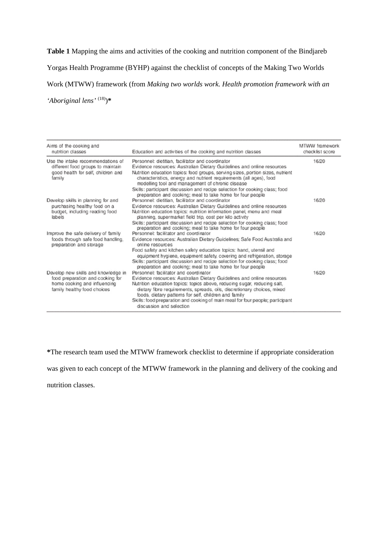**Table 1** Mapping the aims and activities of the cooking and nutrition component of the Bindjareb

Yorgas Health Programme (BYHP) against the checklist of concepts of the Making Two Worlds

Work (MTWW) framework (from *Making two worlds work. Health promotion framework with an* 

*'Aboriginal lens'* (18))**\***

| Aims of the cooking and<br>nutrition classes                                                                                           | Education and activities of the cooking and nutrition classes                                                                                                                                                | MTWW framework<br>checklist score |
|----------------------------------------------------------------------------------------------------------------------------------------|--------------------------------------------------------------------------------------------------------------------------------------------------------------------------------------------------------------|-----------------------------------|
| Use the intake recommendations of<br>different food groups to maintain<br>good health for self, children and<br>family                 | Personnel: dietitian, facilitator and coordinator<br>Evidence resources: Australian Dietary Guidelines and online resources                                                                                  | 16/20                             |
|                                                                                                                                        | Nutrition education topics: food groups, serving sizes, portion sizes, nutrient<br>characteristics, energy and nutrient requirements (all ages), food<br>modelling tool and management of chronic disease    |                                   |
|                                                                                                                                        | Skills: participant discussion and recipe selection for cooking class; food<br>preparation and cooking; meal to take home for four people                                                                    |                                   |
| Develop skills in planning for and<br>purchasing healthy food on a<br>budget, including reading food<br>labels                         | Personnel: dietitian, facilitator and coordinator                                                                                                                                                            | 16/20                             |
|                                                                                                                                        | Evidence resources: Australian Dietary Guidelines and online resources                                                                                                                                       |                                   |
|                                                                                                                                        | Nutrition education topics: nutrition information panel, menu and meal<br>planning, supermarket field trip, cost per kilo activity                                                                           |                                   |
|                                                                                                                                        | Skills: participant discussion and recipe selection for cooking class; food<br>preparation and cooking; meal to take home for four people                                                                    |                                   |
| Improve the safe delivery of family                                                                                                    | Personnel: facilitator and coordinator                                                                                                                                                                       | 16/20                             |
| foods through safe food handling,<br>preparation and storage                                                                           | Evidence resources: Australian Dietary Guidelines; Safe Food Australia and<br>online resources                                                                                                               |                                   |
|                                                                                                                                        | Food safety and kitchen safety education topics: hand, utensil and<br>equipment hygiene, equipment safety, covering and refrigeration, storage                                                               |                                   |
|                                                                                                                                        | Skills: participant discussion and recipe selection for cooking class; food<br>preparation and cooking; meal to take home for four people                                                                    |                                   |
| Develop new skills and knowledge in<br>food preparation and cooking for<br>home cooking and influencing<br>family healthy food choices | Personnel: facilitator and coordinator                                                                                                                                                                       | 16/20                             |
|                                                                                                                                        | Evidence resources: Australian Dietary Guidelines and online resources                                                                                                                                       |                                   |
|                                                                                                                                        | Nutrition education topics: topics above, reducing sugar, reducing salt,<br>dietary fibre requirements, spreads, oils, discretionary choices, mixed<br>foods, dietary patterns for self, children and family |                                   |
|                                                                                                                                        | Skills: food preparation and cooking of main meal for four people; participant<br>discussion and selection                                                                                                   |                                   |

**\***The research team used the MTWW framework checklist to determine if appropriate consideration

was given to each concept of the MTWW framework in the planning and delivery of the cooking and

nutrition classes.